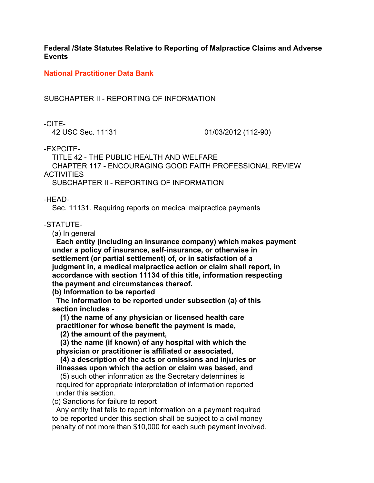**Federal /State Statutes Relative to Reporting of Malpractice Claims and Adverse Events**

**National Practitioner Data Bank**

SUBCHAPTER II - REPORTING OF INFORMATION

-CITE-

42 USC Sec. 11131 01/03/2012 (112-90)

-EXPCITE-

TITLE 42 - THE PUBLIC HEALTH AND WELFARE

 CHAPTER 117 - ENCOURAGING GOOD FAITH PROFESSIONAL REVIEW **ACTIVITIES** 

SUBCHAPTER II - REPORTING OF INFORMATION

-HEAD-

Sec. 11131. Requiring reports on medical malpractice payments

## -STATUTE-

(a) In general

 **Each entity (including an insurance company) which makes payment under a policy of insurance, self-insurance, or otherwise in settlement (or partial settlement) of, or in satisfaction of a judgment in, a medical malpractice action or claim shall report, in accordance with section 11134 of this title, information respecting the payment and circumstances thereof.**

 **(b) Information to be reported**

 **The information to be reported under subsection (a) of this section includes -**

 **(1) the name of any physician or licensed health care practitioner for whose benefit the payment is made,**

 **(2) the amount of the payment,**

 **(3) the name (if known) of any hospital with which the physician or practitioner is affiliated or associated,**

 **(4) a description of the acts or omissions and injuries or illnesses upon which the action or claim was based, and**

 (5) such other information as the Secretary determines is required for appropriate interpretation of information reported under this section.

(c) Sanctions for failure to report

 Any entity that fails to report information on a payment required to be reported under this section shall be subject to a civil money penalty of not more than \$10,000 for each such payment involved.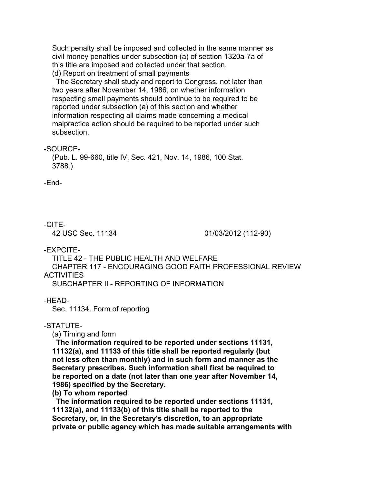Such penalty shall be imposed and collected in the same manner as civil money penalties under subsection (a) of section 1320a-7a of this title are imposed and collected under that section. (d) Report on treatment of small payments

 The Secretary shall study and report to Congress, not later than two years after November 14, 1986, on whether information respecting small payments should continue to be required to be reported under subsection (a) of this section and whether information respecting all claims made concerning a medical malpractice action should be required to be reported under such subsection.

-SOURCE-

 (Pub. L. 99-660, title IV, Sec. 421, Nov. 14, 1986, 100 Stat. 3788.)

-End-

## -CITE-

42 USC Sec. 11134 01/03/2012 (112-90)

-EXPCITE-

 TITLE 42 - THE PUBLIC HEALTH AND WELFARE CHAPTER 117 - ENCOURAGING GOOD FAITH PROFESSIONAL REVIEW **ACTIVITIES** SUBCHAPTER II - REPORTING OF INFORMATION

-HEAD-

Sec. 11134. Form of reporting

# -STATUTE-

(a) Timing and form

 **The information required to be reported under sections 11131, 11132(a), and 11133 of this title shall be reported regularly (but not less often than monthly) and in such form and manner as the Secretary prescribes. Such information shall first be required to be reported on a date (not later than one year after November 14, 1986) specified by the Secretary.**

 **(b) To whom reported**

 **The information required to be reported under sections 11131, 11132(a), and 11133(b) of this title shall be reported to the Secretary, or, in the Secretary's discretion, to an appropriate private or public agency which has made suitable arrangements with**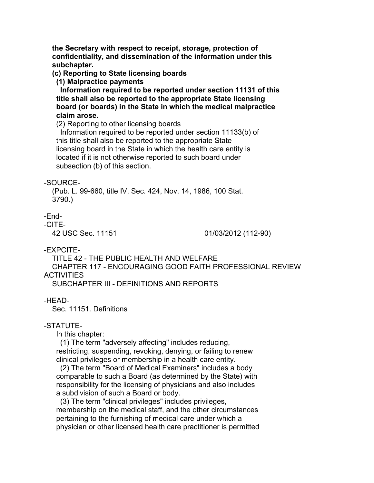**the Secretary with respect to receipt, storage, protection of confidentiality, and dissemination of the information under this subchapter.**

 **(c) Reporting to State licensing boards**

 **(1) Malpractice payments**

 **Information required to be reported under section 11131 of this title shall also be reported to the appropriate State licensing board (or boards) in the State in which the medical malpractice claim arose.**

(2) Reporting to other licensing boards

 Information required to be reported under section 11133(b) of this title shall also be reported to the appropriate State licensing board in the State in which the health care entity is located if it is not otherwise reported to such board under subsection (b) of this section.

### -SOURCE-

 (Pub. L. 99-660, title IV, Sec. 424, Nov. 14, 1986, 100 Stat. 3790.)

## -End-

### -CITE-

42 USC Sec. 11151 01/03/2012 (112-90)

-EXPCITE-

 TITLE 42 - THE PUBLIC HEALTH AND WELFARE CHAPTER 117 - ENCOURAGING GOOD FAITH PROFESSIONAL REVIEW **ACTIVITIES** 

SUBCHAPTER III - DEFINITIONS AND REPORTS

-HEAD-

Sec. 11151. Definitions

### -STATUTE-

In this chapter:

 (1) The term "adversely affecting" includes reducing, restricting, suspending, revoking, denying, or failing to renew clinical privileges or membership in a health care entity.

 (2) The term "Board of Medical Examiners" includes a body comparable to such a Board (as determined by the State) with responsibility for the licensing of physicians and also includes a subdivision of such a Board or body.

 (3) The term "clinical privileges" includes privileges, membership on the medical staff, and the other circumstances pertaining to the furnishing of medical care under which a physician or other licensed health care practitioner is permitted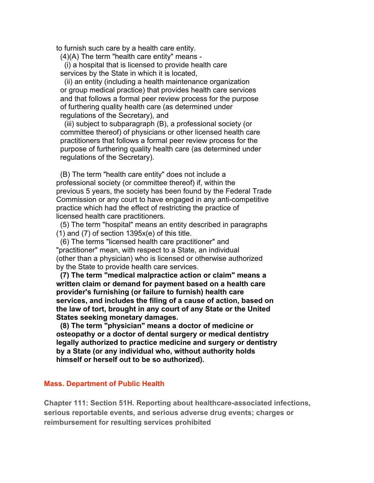to furnish such care by a health care entity.

(4)(A) The term "health care entity" means -

 (i) a hospital that is licensed to provide health care services by the State in which it is located,

 (ii) an entity (including a health maintenance organization or group medical practice) that provides health care services and that follows a formal peer review process for the purpose of furthering quality health care (as determined under regulations of the Secretary), and

 (iii) subject to subparagraph (B), a professional society (or committee thereof) of physicians or other licensed health care practitioners that follows a formal peer review process for the purpose of furthering quality health care (as determined under regulations of the Secretary).

 (B) The term "health care entity" does not include a professional society (or committee thereof) if, within the previous 5 years, the society has been found by the Federal Trade Commission or any court to have engaged in any anti-competitive practice which had the effect of restricting the practice of licensed health care practitioners.

 (5) The term "hospital" means an entity described in paragraphs  $(1)$  and  $(7)$  of section 1395 $x(e)$  of this title.

 (6) The terms "licensed health care practitioner" and "practitioner" mean, with respect to a State, an individual (other than a physician) who is licensed or otherwise authorized by the State to provide health care services.

 **(7) The term "medical malpractice action or claim" means a written claim or demand for payment based on a health care provider's furnishing (or failure to furnish) health care services, and includes the filing of a cause of action, based on the law of tort, brought in any court of any State or the United States seeking monetary damages.**

 **(8) The term "physician" means a doctor of medicine or osteopathy or a doctor of dental surgery or medical dentistry legally authorized to practice medicine and surgery or dentistry by a State (or any individual who, without authority holds himself or herself out to be so authorized).**

#### **Mass. Department of Public Health**

**Chapter 111: Section 51H. Reporting about healthcare-associated infections, serious reportable events, and serious adverse drug events; charges or reimbursement for resulting services prohibited**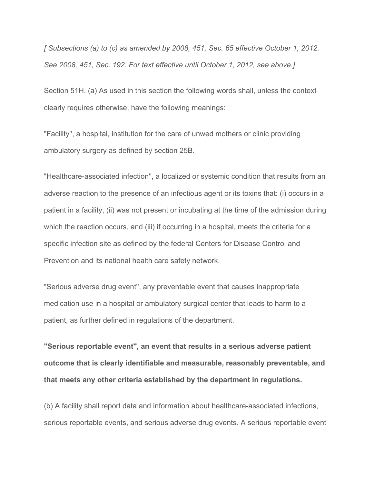*[ Subsections (a) to (c) as amended by 2008, 451, Sec. 65 effective October 1, 2012. See 2008, 451, Sec. 192. For text effective until October 1, 2012, see above.]*

Section 51H. (a) As used in this section the following words shall, unless the context clearly requires otherwise, have the following meanings:

"Facility'', a hospital, institution for the care of unwed mothers or clinic providing ambulatory surgery as defined by section 25B.

"Healthcare-associated infection'', a localized or systemic condition that results from an adverse reaction to the presence of an infectious agent or its toxins that: (i) occurs in a patient in a facility, (ii) was not present or incubating at the time of the admission during which the reaction occurs, and (iii) if occurring in a hospital, meets the criteria for a specific infection site as defined by the federal Centers for Disease Control and Prevention and its national health care safety network.

"Serious adverse drug event'', any preventable event that causes inappropriate medication use in a hospital or ambulatory surgical center that leads to harm to a patient, as further defined in regulations of the department.

**"Serious reportable event'', an event that results in a serious adverse patient outcome that is clearly identifiable and measurable, reasonably preventable, and that meets any other criteria established by the department in regulations.**

(b) A facility shall report data and information about healthcare-associated infections, serious reportable events, and serious adverse drug events. A serious reportable event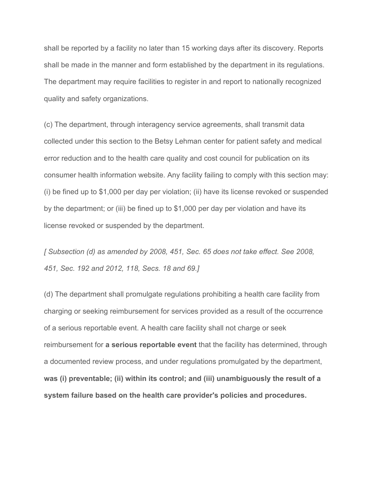shall be reported by a facility no later than 15 working days after its discovery. Reports shall be made in the manner and form established by the department in its regulations. The department may require facilities to register in and report to nationally recognized quality and safety organizations.

(c) The department, through interagency service agreements, shall transmit data collected under this section to the Betsy Lehman center for patient safety and medical error reduction and to the health care quality and cost council for publication on its consumer health information website. Any facility failing to comply with this section may: (i) be fined up to \$1,000 per day per violation; (ii) have its license revoked or suspended by the department; or (iii) be fined up to \$1,000 per day per violation and have its license revoked or suspended by the department.

*[ Subsection (d) as amended by 2008, 451, Sec. 65 does not take effect. See 2008, 451, Sec. 192 and 2012, 118, Secs. 18 and 69.]*

(d) The department shall promulgate regulations prohibiting a health care facility from charging or seeking reimbursement for services provided as a result of the occurrence of a serious reportable event. A health care facility shall not charge or seek reimbursement for **a serious reportable event** that the facility has determined, through a documented review process, and under regulations promulgated by the department, **was (i) preventable; (ii) within its control; and (iii) unambiguously the result of a system failure based on the health care provider's policies and procedures.**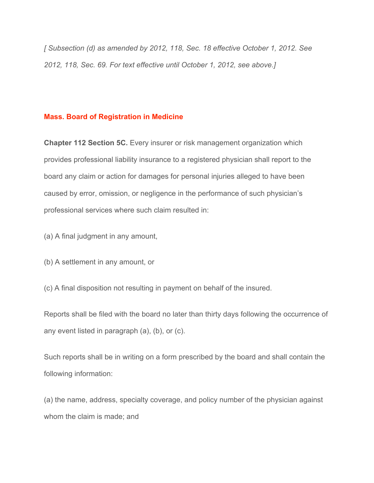*[ Subsection (d) as amended by 2012, 118, Sec. 18 effective October 1, 2012. See 2012, 118, Sec. 69. For text effective until October 1, 2012, see above.]*

## **Mass. Board of Registration in Medicine**

**Chapter 112 Section 5C.** Every insurer or risk management organization which provides professional liability insurance to a registered physician shall report to the board any claim or action for damages for personal injuries alleged to have been caused by error, omission, or negligence in the performance of such physician's professional services where such claim resulted in:

(a) A final judgment in any amount,

(b) A settlement in any amount, or

(c) A final disposition not resulting in payment on behalf of the insured.

Reports shall be filed with the board no later than thirty days following the occurrence of any event listed in paragraph (a), (b), or (c).

Such reports shall be in writing on a form prescribed by the board and shall contain the following information:

(a) the name, address, specialty coverage, and policy number of the physician against whom the claim is made; and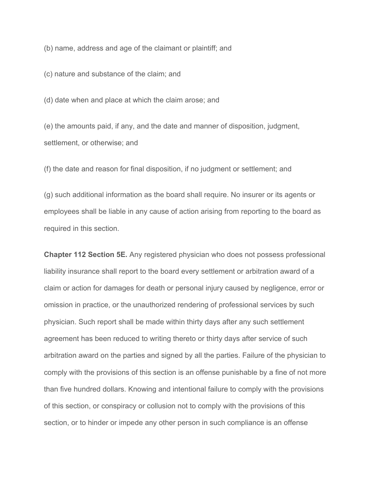(b) name, address and age of the claimant or plaintiff; and

(c) nature and substance of the claim; and

(d) date when and place at which the claim arose; and

(e) the amounts paid, if any, and the date and manner of disposition, judgment, settlement, or otherwise; and

(f) the date and reason for final disposition, if no judgment or settlement; and

(g) such additional information as the board shall require. No insurer or its agents or employees shall be liable in any cause of action arising from reporting to the board as required in this section.

**Chapter 112 Section 5E.** Any registered physician who does not possess professional liability insurance shall report to the board every settlement or arbitration award of a claim or action for damages for death or personal injury caused by negligence, error or omission in practice, or the unauthorized rendering of professional services by such physician. Such report shall be made within thirty days after any such settlement agreement has been reduced to writing thereto or thirty days after service of such arbitration award on the parties and signed by all the parties. Failure of the physician to comply with the provisions of this section is an offense punishable by a fine of not more than five hundred dollars. Knowing and intentional failure to comply with the provisions of this section, or conspiracy or collusion not to comply with the provisions of this section, or to hinder or impede any other person in such compliance is an offense